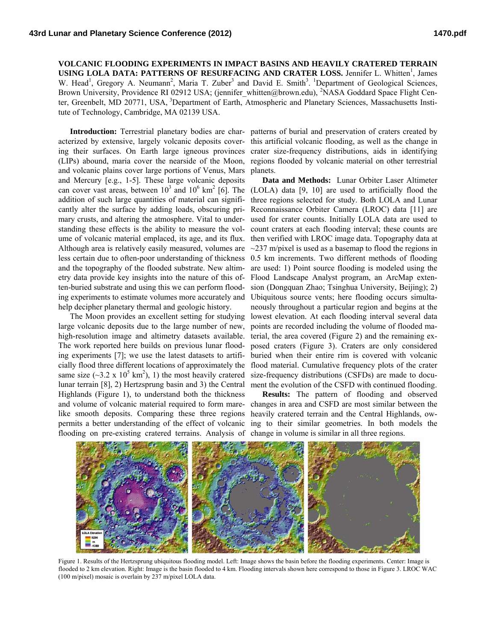**VOLCANIC FLOODING EXPERIMENTS IN IMPACT BASINS AND HEAVILY CRATERED TERRAIN**  USING LOLA DATA: PATTERNS OF RESURFACING AND CRATER LOSS. Jennifer L. Whitten<sup>1</sup>, James W. Head<sup>1</sup>, Gregory A. Neumann<sup>2</sup>, Maria T. Zuber<sup>3</sup> and David E. Smith<sup>3</sup>. <sup>1</sup>Department of Geological Sciences, Brown University, Providence RI 02912 USA; (jennifer\_whitten@brown.edu), <sup>2</sup>NASA Goddard Space Flight Center, Greenbelt, MD 20771, USA, <sup>3</sup>Department of Earth, Atmospheric and Planetary Sciences, Massachusetts Institute of Technology, Cambridge, MA 02139 USA.

acterized by extensive, largely volcanic deposits covering their surfaces. On Earth large igneous provinces (LIPs) abound, maria cover the nearside of the Moon, and volcanic plains cover large portions of Venus, Mars and Mercury [e.g., 1-5]. These large volcanic deposits addition of such large quantities of material can significantly alter the surface by adding loads, obscuring primary crusts, and altering the atmosphere. Vital to understanding these effects is the ability to measure the volume of volcanic material emplaced, its age, and its flux. Although area is relatively easily measured, volumes are less certain due to often-poor understanding of thickness and the topography of the flooded substrate. New altimetry data provide key insights into the nature of this often-buried substrate and using this we can perform flooding experiments to estimate volumes more accurately and help decipher planetary thermal and geologic history.

The Moon provides an excellent setting for studying large volcanic deposits due to the large number of new, high-resolution image and altimetry datasets available. The work reported here builds on previous lunar flooding experiments [7]; we use the latest datasets to artificially flood three different locations of approximately the same size ( $\sim$ 3.2 x 10<sup>5</sup> km<sup>2</sup>), 1) the most heavily cratered lunar terrain [8], 2) Hertzsprung basin and 3) the Central Highlands (Figure 1), to understand both the thickness and volume of volcanic material required to form marelike smooth deposits. Comparing these three regions permits a better understanding of the effect of volcanic flooding on pre-existing cratered terrains. Analysis of change in volume is similar in all three regions.

**Introduction:** Terrestrial planetary bodies are char-patterns of burial and preservation of craters created by this artificial volcanic flooding, as well as the change in crater size-frequency distributions, aids in identifying regions flooded by volcanic material on other terrestrial planets.

can cover vast areas, between  $10^3$  and  $10^6$  km<sup>2</sup> [6]. The (LOLA) data [9, 10] are used to artificially flood the **Data and Methods:** Lunar Orbiter Laser Altimeter three regions selected for study. Both LOLA and Lunar Reconnaissance Orbiter Camera (LROC) data [11] are used for crater counts. Initially LOLA data are used to count craters at each flooding interval; these counts are then verified with LROC image data. Topography data at  $\sim$ 237 m/pixel is used as a basemap to flood the regions in 0.5 km increments. Two different methods of flooding are used: 1) Point source flooding is modeled using the Flood Landscape Analyst program, an ArcMap extension (Dongquan Zhao; Tsinghua University, Beijing); 2) Ubiquitous source vents; here flooding occurs simultaneously throughout a particular region and begins at the lowest elevation. At each flooding interval several data points are recorded including the volume of flooded material, the area covered (Figure 2) and the remaining exposed craters (Figure 3). Craters are only considered buried when their entire rim is covered with volcanic flood material. Cumulative frequency plots of the crater size-frequency distributions (CSFDs) are made to document the evolution of the CSFD with continued flooding.

> **Results:** The pattern of flooding and observed changes in area and CSFD are most similar between the heavily cratered terrain and the Central Highlands, owing to their similar geometries. In both models the



Figure 1. Results of the Hertzsprung ubiquitous flooding model. Left: Image shows the basin before the flooding experiments. Center: Image is flooded to 2 km elevation. Right: Image is the basin flooded to 4 km. Flooding intervals shown here correspond to those in Figure 3. LROC WAC (100 m/pixel) mosaic is overlain by 237 m/pixel LOLA data.